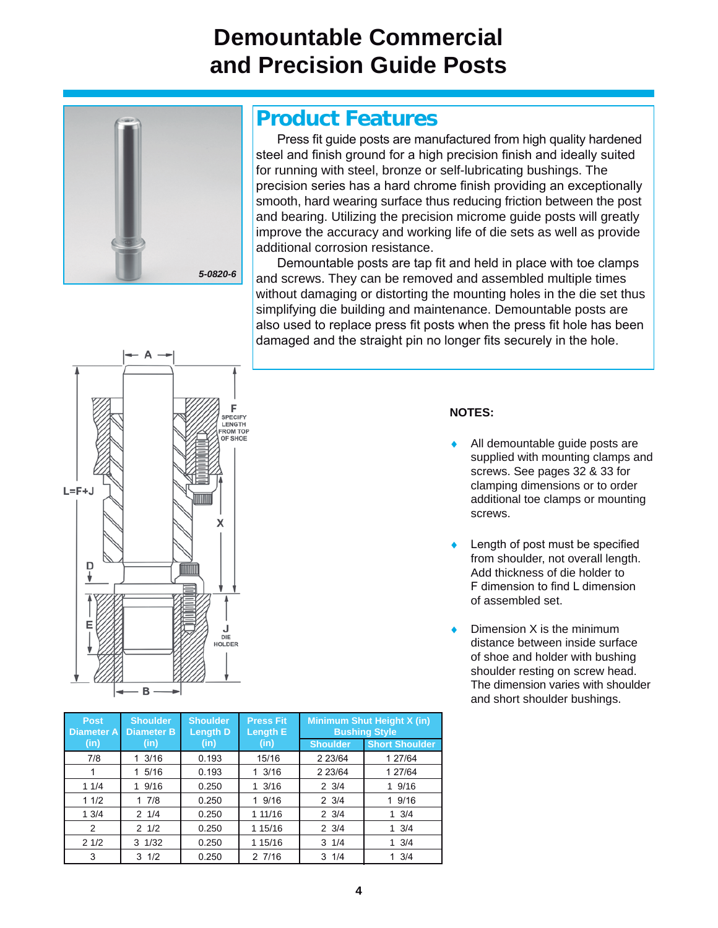## **Demountable Commercial and Precision Guide Posts**



## **Product Features**

Press fit quide posts are manufactured from high quality hardened steel and finish ground for a high precision finish and ideally suited for running with steel, bronze or self-lubricating bushings. The precision series has a hard chrome finish providing an exceptionally smooth, hard wearing surface thus reducing friction between the post and bearing. Utilizing the precision microme guide posts will greatly improve the accuracy and working life of die sets as well as provide additional corrosion resistance.

Demountable posts are tap fit and held in place with toe clamps and screws. They can be removed and assembled multiple times without damaging or distorting the mounting holes in the die set thus simplifying die building and maintenance. Demountable posts are also used to replace press fit posts when the press fit hole has been damaged and the straight pin no longer fits securely in the hole.



| × | ٧ |
|---|---|

- All demountable guide posts are supplied with mounting clamps and screws. See pages 32 & 33 for clamping dimensions or to order additional toe clamps or mounting screws.
- Length of post must be specified from shoulder, not overall length. Add thickness of die holder to F dimension to find L dimension of assembled set.
- Dimension X is the minimum distance between inside surface of shoe and holder with bushing shoulder resting on screw head. The dimension varies with shoulder and short shoulder bushings.

| Post.<br><b>Diameter A</b> | <b>Shoulder</b><br><b>Diameter B</b> | <b>Shoulder</b><br><b>Length D</b> | <b>Press Fit</b><br><b>Length E</b> | <b>Minimum Shut Height X (in)</b><br><b>Bushing Style</b> |                       |
|----------------------------|--------------------------------------|------------------------------------|-------------------------------------|-----------------------------------------------------------|-----------------------|
| (in)                       | (in)                                 | (in)                               | (in)                                | <b>Shoulder</b>                                           | <b>Short Shoulder</b> |
| 7/8                        | 1 3/16                               | 0.193                              | 15/16                               | 2 2 3/64                                                  | 1 27/64               |
|                            | 1 5/16                               | 0.193                              | 13/16                               | 2 2 3 / 64                                                | 1 27/64               |
| 11/4                       | 19/16                                | 0.250                              | $1 \frac{3}{16}$                    | $2 \frac{3}{4}$                                           | 19/16                 |
| 11/2                       | 17/8                                 | 0.250                              | 1 9/16                              | $2 \frac{3}{4}$                                           | 1 9/16                |
| 13/4                       | $2 \frac{1}{4}$                      | 0.250                              | 1 11/16                             | $2 \frac{3}{4}$                                           | $1 \frac{3}{4}$       |
| 2                          | $2 \frac{1}{2}$                      | 0.250                              | 1 15/16                             | $2 \frac{3}{4}$                                           | $1 \frac{3}{4}$       |
| 21/2                       | $3 \frac{1}{32}$                     | 0.250                              | 1 15/16                             | $3 \frac{1}{4}$                                           | $1 \frac{3}{4}$       |
| 3                          | $3 \frac{1}{2}$                      | 0.250                              | 27/16                               | $3 \frac{1}{4}$                                           | $1 \frac{3}{4}$       |